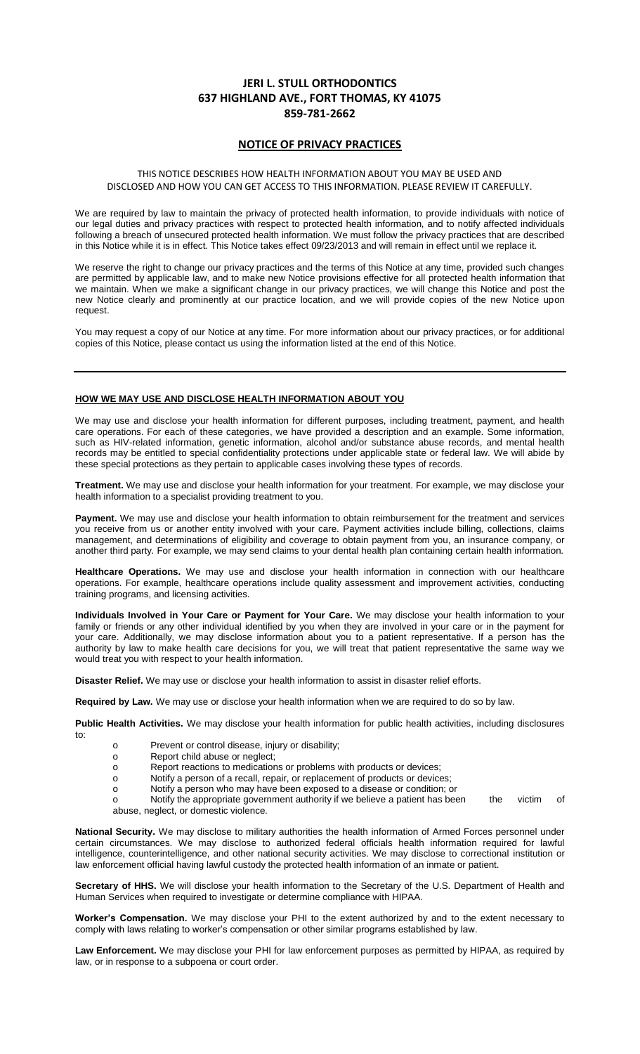# **JERI L. STULL ORTHODONTICS 637 HIGHLAND AVE., FORT THOMAS, KY 41075 859-781-2662**

# **NOTICE OF PRIVACY PRACTICES**

### THIS NOTICE DESCRIBES HOW HEALTH INFORMATION ABOUT YOU MAY BE USED AND DISCLOSED AND HOW YOU CAN GET ACCESS TO THIS INFORMATION. PLEASE REVIEW IT CAREFULLY.

We are required by law to maintain the privacy of protected health information, to provide individuals with notice of our legal duties and privacy practices with respect to protected health information, and to notify affected individuals following a breach of unsecured protected health information. We must follow the privacy practices that are described in this Notice while it is in effect. This Notice takes effect 09/23/2013 and will remain in effect until we replace it.

We reserve the right to change our privacy practices and the terms of this Notice at any time, provided such changes are permitted by applicable law, and to make new Notice provisions effective for all protected health information that we maintain. When we make a significant change in our privacy practices, we will change this Notice and post the new Notice clearly and prominently at our practice location, and we will provide copies of the new Notice upon request.

You may request a copy of our Notice at any time. For more information about our privacy practices, or for additional copies of this Notice, please contact us using the information listed at the end of this Notice.

#### **HOW WE MAY USE AND DISCLOSE HEALTH INFORMATION ABOUT YOU**

We may use and disclose your health information for different purposes, including treatment, payment, and health care operations. For each of these categories, we have provided a description and an example. Some information, such as HIV-related information, genetic information, alcohol and/or substance abuse records, and mental health records may be entitled to special confidentiality protections under applicable state or federal law. We will abide by these special protections as they pertain to applicable cases involving these types of records.

**Treatment.** We may use and disclose your health information for your treatment. For example, we may disclose your health information to a specialist providing treatment to you.

**Payment.** We may use and disclose your health information to obtain reimbursement for the treatment and services you receive from us or another entity involved with your care. Payment activities include billing, collections, claims management, and determinations of eligibility and coverage to obtain payment from you, an insurance company, or another third party. For example, we may send claims to your dental health plan containing certain health information.

**Healthcare Operations.** We may use and disclose your health information in connection with our healthcare operations. For example, healthcare operations include quality assessment and improvement activities, conducting training programs, and licensing activities.

**Individuals Involved in Your Care or Payment for Your Care.** We may disclose your health information to your family or friends or any other individual identified by you when they are involved in your care or in the payment for your care. Additionally, we may disclose information about you to a patient representative. If a person has the authority by law to make health care decisions for you, we will treat that patient representative the same way we would treat you with respect to your health information.

**Disaster Relief.** We may use or disclose your health information to assist in disaster relief efforts.

**Required by Law.** We may use or disclose your health information when we are required to do so by law.

**Public Health Activities.** We may disclose your health information for public health activities, including disclosures to:

- o Prevent or control disease, injury or disability;
- o Report child abuse or neglect;
- o Report reactions to medications or problems with products or devices;
- o Notify a person of a recall, repair, or replacement of products or devices;
- o Notify a person who may have been exposed to a disease or condition; or
- o Notify the appropriate government authority if we believe a patient has been the victim of abuse, neglect, or domestic violence.

**National Security.** We may disclose to military authorities the health information of Armed Forces personnel under certain circumstances. We may disclose to authorized federal officials health information required for lawful intelligence, counterintelligence, and other national security activities. We may disclose to correctional institution or law enforcement official having lawful custody the protected health information of an inmate or patient.

**Secretary of HHS.** We will disclose your health information to the Secretary of the U.S. Department of Health and Human Services when required to investigate or determine compliance with HIPAA.

**Worker's Compensation.** We may disclose your PHI to the extent authorized by and to the extent necessary to comply with laws relating to worker's compensation or other similar programs established by law.

**Law Enforcement.** We may disclose your PHI for law enforcement purposes as permitted by HIPAA, as required by law, or in response to a subpoena or court order.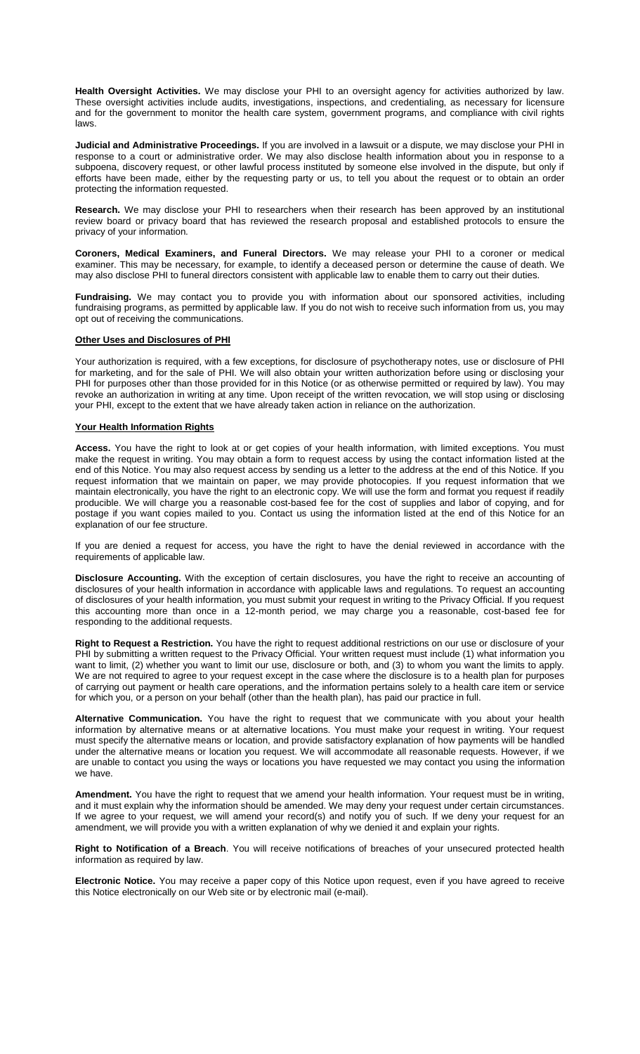**Health Oversight Activities.** We may disclose your PHI to an oversight agency for activities authorized by law. These oversight activities include audits, investigations, inspections, and credentialing, as necessary for licensure and for the government to monitor the health care system, government programs, and compliance with civil rights laws.

**Judicial and Administrative Proceedings.** If you are involved in a lawsuit or a dispute, we may disclose your PHI in response to a court or administrative order. We may also disclose health information about you in response to a subpoena, discovery request, or other lawful process instituted by someone else involved in the dispute, but only if efforts have been made, either by the requesting party or us, to tell you about the request or to obtain an order protecting the information requested.

**Research.** We may disclose your PHI to researchers when their research has been approved by an institutional review board or privacy board that has reviewed the research proposal and established protocols to ensure the privacy of your information.

**Coroners, Medical Examiners, and Funeral Directors.** We may release your PHI to a coroner or medical examiner. This may be necessary, for example, to identify a deceased person or determine the cause of death. We may also disclose PHI to funeral directors consistent with applicable law to enable them to carry out their duties.

**Fundraising.** We may contact you to provide you with information about our sponsored activities, including fundraising programs, as permitted by applicable law. If you do not wish to receive such information from us, you may opt out of receiving the communications.

#### **Other Uses and Disclosures of PHI**

Your authorization is required, with a few exceptions, for disclosure of psychotherapy notes, use or disclosure of PHI for marketing, and for the sale of PHI. We will also obtain your written authorization before using or disclosing your PHI for purposes other than those provided for in this Notice (or as otherwise permitted or required by law). You may revoke an authorization in writing at any time. Upon receipt of the written revocation, we will stop using or disclosing your PHI, except to the extent that we have already taken action in reliance on the authorization.

### **Your Health Information Rights**

**Access.** You have the right to look at or get copies of your health information, with limited exceptions. You must make the request in writing. You may obtain a form to request access by using the contact information listed at the end of this Notice. You may also request access by sending us a letter to the address at the end of this Notice. If you request information that we maintain on paper, we may provide photocopies. If you request information that we maintain electronically, you have the right to an electronic copy. We will use the form and format you request if readily producible. We will charge you a reasonable cost-based fee for the cost of supplies and labor of copying, and for postage if you want copies mailed to you. Contact us using the information listed at the end of this Notice for an explanation of our fee structure.

If you are denied a request for access, you have the right to have the denial reviewed in accordance with the requirements of applicable law.

**Disclosure Accounting.** With the exception of certain disclosures, you have the right to receive an accounting of disclosures of your health information in accordance with applicable laws and regulations. To request an accounting of disclosures of your health information, you must submit your request in writing to the Privacy Official. If you request this accounting more than once in a 12-month period, we may charge you a reasonable, cost-based fee for responding to the additional requests.

**Right to Request a Restriction.** You have the right to request additional restrictions on our use or disclosure of your PHI by submitting a written request to the Privacy Official. Your written request must include (1) what information you want to limit, (2) whether you want to limit our use, disclosure or both, and (3) to whom you want the limits to apply. We are not required to agree to your request except in the case where the disclosure is to a health plan for purposes of carrying out payment or health care operations, and the information pertains solely to a health care item or service for which you, or a person on your behalf (other than the health plan), has paid our practice in full.

**Alternative Communication.** You have the right to request that we communicate with you about your health information by alternative means or at alternative locations. You must make your request in writing. Your request must specify the alternative means or location, and provide satisfactory explanation of how payments will be handled under the alternative means or location you request. We will accommodate all reasonable requests. However, if we are unable to contact you using the ways or locations you have requested we may contact you using the information we have.

**Amendment.** You have the right to request that we amend your health information. Your request must be in writing, and it must explain why the information should be amended. We may deny your request under certain circumstances. If we agree to your request, we will amend your record(s) and notify you of such. If we deny your request for an amendment, we will provide you with a written explanation of why we denied it and explain your rights.

**Right to Notification of a Breach**. You will receive notifications of breaches of your unsecured protected health information as required by law.

**Electronic Notice.** You may receive a paper copy of this Notice upon request, even if you have agreed to receive this Notice electronically on our Web site or by electronic mail (e-mail).